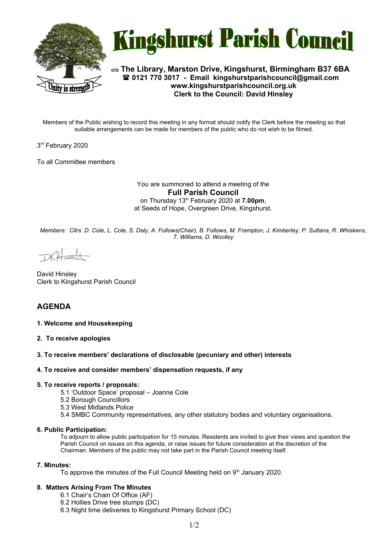



**c/o The Library, Marston Drive, Kingshurst, Birmingham B37 6BA 0121 770 3017 - Email [kingshurstparishcouncil@gmail.com](mailto:kingshurstparishcouncil@gmail.com) www.kingshurstparishcouncil.org.uk Clerk to the Council: David Hinsley** 

Members of the Public wishing to record this meeting in any format should notify the Clerk before the meeting so that suitable arrangements can be made for members of the public who do not wish to be filmed.

3 rd February 2020

To all Committee members

You are summoned to attend a meeting of the **Full Parish Council**  on Thursday 13th February 2020 at **7.00pm**, at Seeds of Hope, Overgreen Drive, Kingshurst.

*Members: Cllrs. D. Cole, L. Cole, S. Daly, A. Follows(Chair), B. Follows, M. Frampton, J. Kimberley, P. Sultana, R. Whiskens, T. Williams, D. Woolley*

DRHush

David Hinsley Clerk to Kingshurst Parish Council

# **AGENDA**

#### **1. Welcome and Housekeeping**

**2. To receive apologies**

#### **3. To receive members' declarations of disclosable (pecuniary and other) interests**

#### **4. To receive and consider members' dispensation requests, if any**

#### **5. To receive reports / proposals:**

- 5.1 'Outdoor Space' proposal Joanne Cole
- 5.2 Borough Councillors
- 5.3 West Midlands Police
- 5.4 SMBC Community representatives, any other statutory bodies and voluntary organisations.

# **6. Public Participation:**

To adjourn to allow public participation for 15 minutes. Residents are invited to give their views and question the Parish Council on issues on this agenda, or raise issues for future consideration at the discretion of the Chairman. Members of the public may not take part in the Parish Council meeting itself.

#### **7. Minutes:**

To approve the minutes of the Full Council Meeting held on  $9<sup>th</sup>$  January 2020.

# **8. Matters Arising From The Minutes**

- 6.1 Chair's Chain Of Office (AF)
- 6.2 Hollies Drive tree stumps (DC)
- 6.3 Night time deliveries to Kingshurst Primary School (DC)